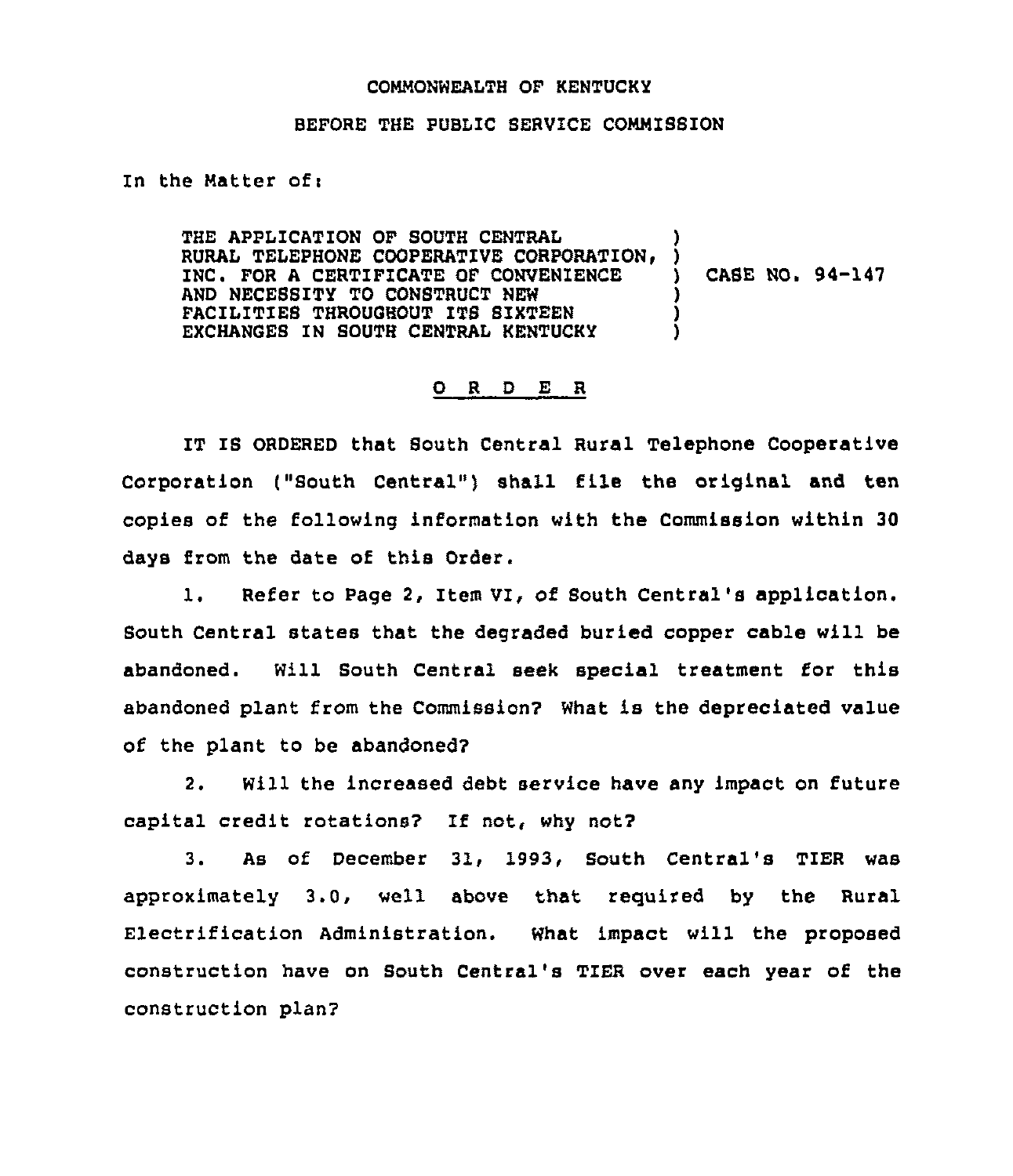## COMMONWEALTH OF KENTUCKY

## BEFORE THE PUBIIC SERVICE COMMISSION

In the Matter ofi

THE APPLICATION OF SOUTH CENTRAL<br>RURAL TELEPHONE COOPERATIVE CORPORATION. INC. FOR A CERTIFICATE OF CONVENIENCE AND NECESSITY TO CONSTRUCT NEW FACILITIES THROUGHOUT ITS SIXTEEN EXCHANGES IN SOUTH CENTRAI KENTUCKY ) ) CASE NO. 94-147 ) ) )

## 0 <sup>R</sup> <sup>D</sup> E <sup>R</sup>

IT IS ORDERED that South Central Rural Telephone Cooperative Corporation ("South Central") shall file the original and ten copies of the following information with the Commission within 30 days from the date of this Order.

1. Refer to Page 2, Item VI, of South Central's application. South Central states that the degraded buried copper cable will be abandoned. Will South Central seek special treatment for this abandoned plant from the Commission? What is the depreciated value of the plant to be abandoned?

2. Will the increased debt service have any impact on future capital credit rotations? If not, why not?

3. As of December 31, 1993, South Central's TIER was approximately 3.0, well above that requited by the Rural Electrification Administration. What impact will the proposed construction have on South Central's TIER over each year of the construction plan?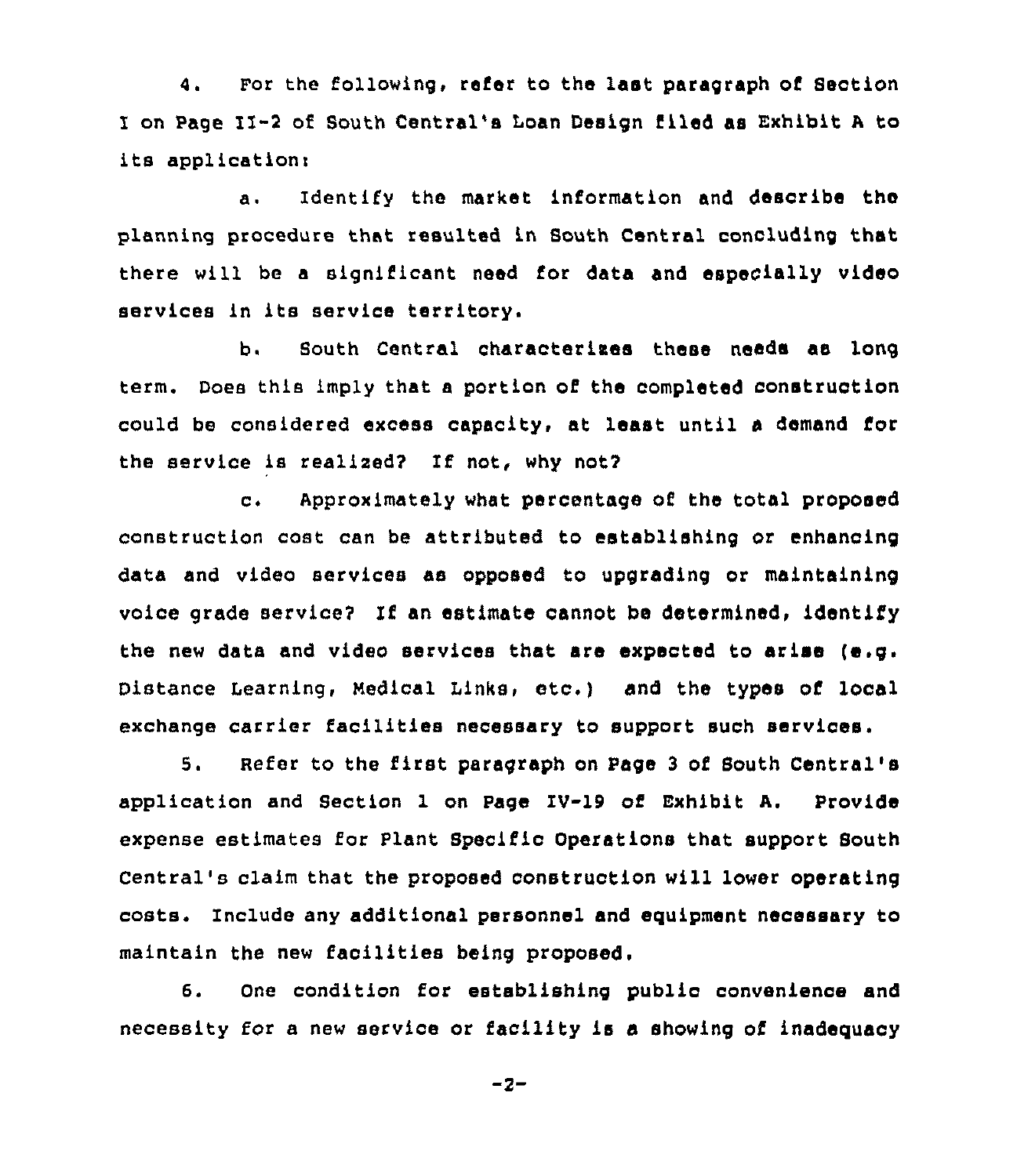4. For the following, refer to the last paragraph of Section I on Page II-2 of South Central's loan Design filed as Exhibit <sup>A</sup> to its application:

a. Identify the market: information and desoribe the planning procedure that resulted in South Central concluding that there will be a significant need for data and especially video services in its service territory.

b. South Central characterless these needs aa long term. Does this imply that a portion of the completed construction could be considered excess capacity, at least until a demand the service is realized? If not, why not?

c. Approximately what percentage of the total proposed construction cost can be attributed to establishing or enhancing data and video services as opposed to upgrading or maintaining voice grade service? If an estimate cannot be determined, identify the new data and video services that are expected to arise (e.g. Distance Learning, Medical Links, etc.) and the types of local exchange carrier facilities necessary to support such services.

5. Refer to the first paragraph on Page <sup>3</sup> of South Central's application and Section 1 on Page IV-19 of Exhibit A. Provide expense estimates for Plant Specific Operations that support South Central's claim that the proposed construction will lower operating costs. Include any additional personnel and equipment necessary to maintain the new facilities being proposed.

6. One condition for establishing public convenience and necessity for a new service or facility is a showing of inadequacy

 $-2-$